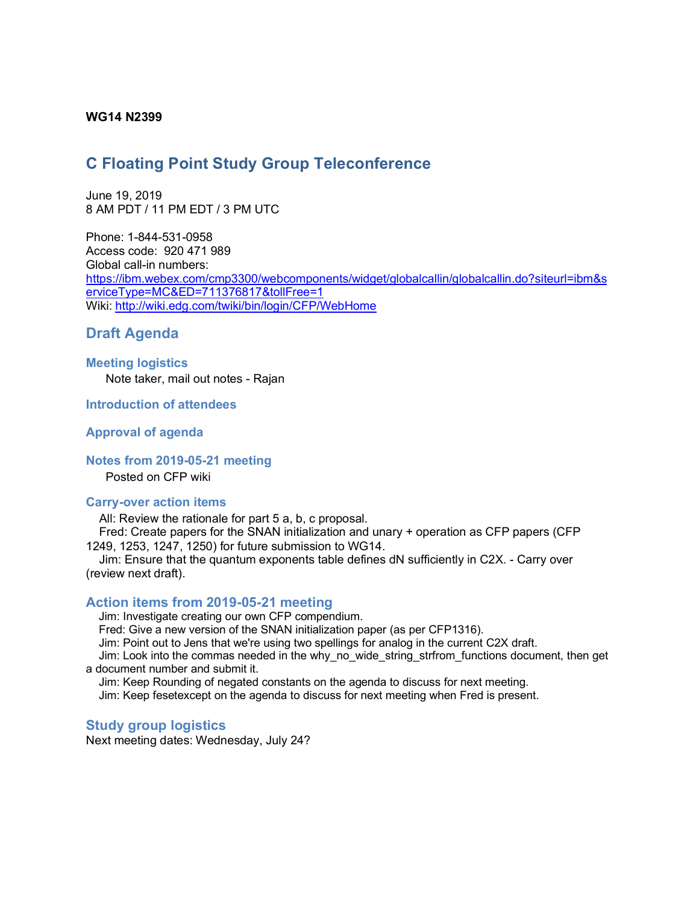### **WG14 N2399**

# **C Floating Point Study Group Teleconference**

June 19, 2019 8 AM PDT / 11 PM EDT / 3 PM UTC

Phone: 1-844-531-0958 Access code: 920 471 989 Global call-in numbers: https://ibm.webex.com/cmp3300/webcomponents/widget/globalcallin/globalcallin.do?siteurl=ibm&s erviceType=MC&ED=711376817&tollFree=1 Wiki: http://wiki.edg.com/twiki/bin/login/CFP/WebHome

# **Draft Agenda**

# **Meeting logistics**

Note taker, mail out notes - Rajan

**Introduction of attendees**

#### **Approval of agenda**

## **Notes from 2019-05-21 meeting**

Posted on CFP wiki

#### **Carry-over action items**

All: Review the rationale for part 5 a, b, c proposal.

Fred: Create papers for the SNAN initialization and unary + operation as CFP papers (CFP 1249, 1253, 1247, 1250) for future submission to WG14.

Jim: Ensure that the quantum exponents table defines dN sufficiently in C2X. - Carry over (review next draft).

#### **Action items from 2019-05-21 meeting**

Jim: Investigate creating our own CFP compendium.

Fred: Give a new version of the SNAN initialization paper (as per CFP1316).

Jim: Point out to Jens that we're using two spellings for analog in the current C2X draft.

Jim: Look into the commas needed in the why\_no\_wide\_string\_strfrom\_functions document, then get a document number and submit it.

Jim: Keep Rounding of negated constants on the agenda to discuss for next meeting.

Jim: Keep fesetexcept on the agenda to discuss for next meeting when Fred is present.

#### **Study group logistics**

Next meeting dates: Wednesday, July 24?